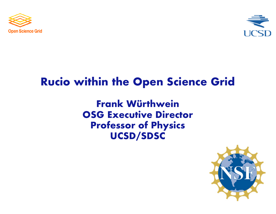



### **Rucio within the Open Science Grid**

**Frank Würthwein OSG Executive Director Professor of Physics UCSD/SDSC**

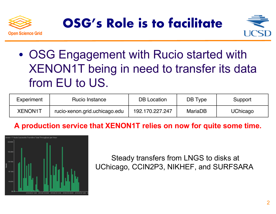





• OSG Engagement with Rucio started with XENON1T being in need to transfer its data from EU to US.

| Experiment | Rucio Instance                | <b>DB</b> Location | DB Type        | Support         |
|------------|-------------------------------|--------------------|----------------|-----------------|
| XENON1T    | rucio-xenon.grid.uchicago.edu | 192.170.227.247    | <b>MariaDB</b> | <b>UChicago</b> |

#### **A production service that XENON1T relies on now for quite some time.**



Steady transfers from LNGS to disks at UChicago, CCIN2P3, NIKHEF, and SURFSARA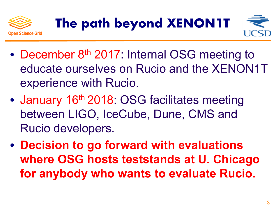



- December 8<sup>th</sup> 2017: Internal OSG meeting to educate ourselves on Rucio and the XENON1T experience with Rucio.
- January 16<sup>th</sup> 2018: OSG facilitates meeting between LIGO, IceCube, Dune, CMS and Rucio developers.
- **Decision to go forward with evaluations where OSG hosts teststands at U. Chicago for anybody who wants to evaluate Rucio.**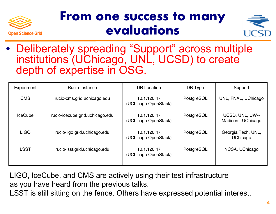

## **From one success to many evaluations**



• Deliberately spreading "Support" across multiple institutions (UChicago, UNL, UCSD) to create depth of expertise in OSG.

| Experiment     | Rucio Instance                  | <b>DB</b> Location                  | DB Type    | Support                               |
|----------------|---------------------------------|-------------------------------------|------------|---------------------------------------|
| <b>CMS</b>     | rucio-cms.grid.uchicago.edu     | 10.1.120.47<br>(UChicago OpenStack) | PostgreSQL | UNL, FNAL, UChicago                   |
| <b>IceCube</b> | rucio-icecube.grid.uchicago.edu | 10.1.120.47<br>(UChicago OpenStack) | PostgreSQL | UCSD, UNL, UW--<br>Madison, UChicago  |
| <b>LIGO</b>    | rucio-ligo.grid.uchicago.edu    | 10.1.120.47<br>(UChicago OpenStack) | PostgreSQL | Georgia Tech, UNL,<br><b>UChicago</b> |
| <b>LSST</b>    | rucio-Isst.grid.uchicago.edu    | 10.1.120.47<br>(UChicago OpenStack) | PostgreSQL | NCSA, UChicago                        |

LIGO, IceCube, and CMS are actively using their test infrastructure as you have heard from the previous talks.

LSST is still sitting on the fence. Others have expressed potential interest.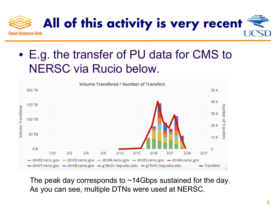

### • E.g. the transfer of PU data for CMS to NERSC via Rucio below.



The peak day corresponds to ~14Gbps sustained for the day. As you can see, multiple DTNs were used at NERSC.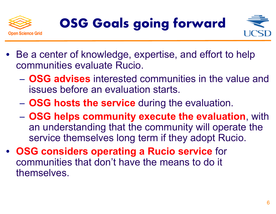





- Be a center of knowledge, expertise, and effort to help communities evaluate Rucio.
	- − **OSG advises** interested communities in the value and issues before an evaluation starts.
	- − **OSG hosts the service** during the evaluation.
	- − **OSG helps community execute the evaluation**, with an understanding that the community will operate the service themselves long term if they adopt Rucio.
- **OSG considers operating a Rucio service** for communities that don't have the means to do it themselves.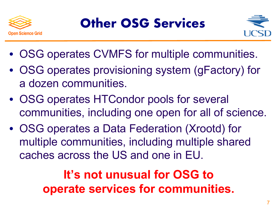



- OSG operates CVMFS for multiple communities.
- OSG operates provisioning system (gFactory) for a dozen communities.
- OSG operates HTCondor pools for several communities, including one open for all of science.
- OSG operates a Data Federation (Xrootd) for multiple communities, including multiple shared caches across the US and one in EU.

# **It's not unusual for OSG to operate services for communities.**